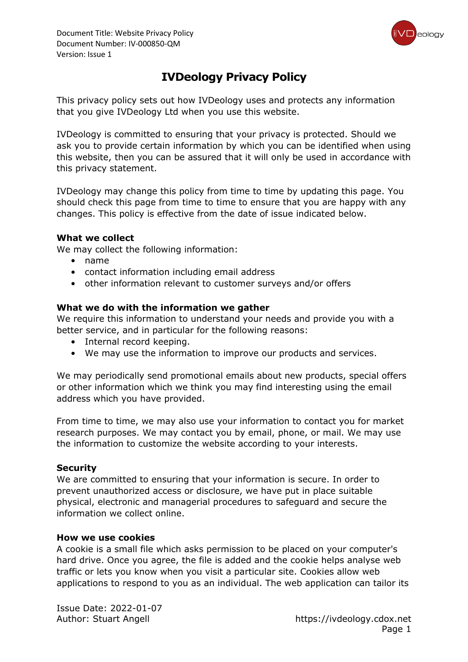

### **IVDeology Privacy Policy**

This privacy policy sets out how IVDeology uses and protects any information that you give IVDeology Ltd when you use this website.

IVDeology is committed to ensuring that your privacy is protected. Should we ask you to provide certain information by which you can be identified when using this website, then you can be assured that it will only be used in accordance with this privacy statement.

IVDeology may change this policy from time to time by updating this page. You should check this page from time to time to ensure that you are happy with any changes. This policy is effective from the date of issue indicated below.

#### **What we collect**

We may collect the following information:

- name
- contact information including email address
- other information relevant to customer surveys and/or offers

#### **What we do with the information we gather**

We require this information to understand your needs and provide you with a better service, and in particular for the following reasons:

- Internal record keeping.
- We may use the information to improve our products and services.

We may periodically send promotional emails about new products, special offers or other information which we think you may find interesting using the email address which you have provided.

From time to time, we may also use your information to contact you for market research purposes. We may contact you by email, phone, or mail. We may use the information to customize the website according to your interests.

#### **Security**

We are committed to ensuring that your information is secure. In order to prevent unauthorized access or disclosure, we have put in place suitable physical, electronic and managerial procedures to safeguard and secure the information we collect online.

#### **How we use cookies**

A cookie is a small file which asks permission to be placed on your computer's hard drive. Once you agree, the file is added and the cookie helps analyse web traffic or lets you know when you visit a particular site. Cookies allow web applications to respond to you as an individual. The web application can tailor its

Issue Date: 2022-01-07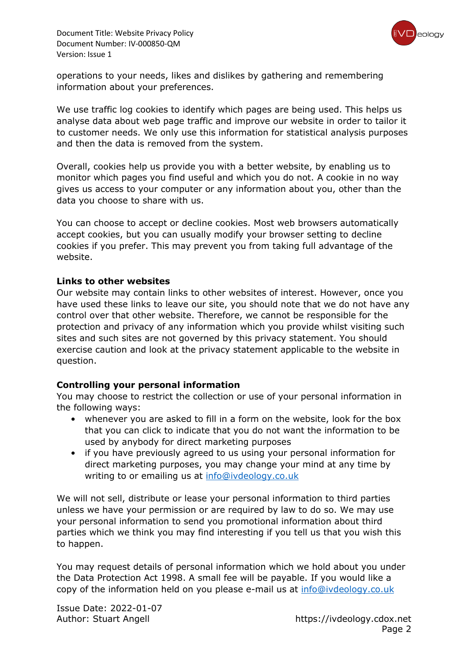

operations to your needs, likes and dislikes by gathering and remembering information about your preferences.

We use traffic log cookies to identify which pages are being used. This helps us analyse data about web page traffic and improve our website in order to tailor it to customer needs. We only use this information for statistical analysis purposes and then the data is removed from the system.

Overall, cookies help us provide you with a better website, by enabling us to monitor which pages you find useful and which you do not. A cookie in no way gives us access to your computer or any information about you, other than the data you choose to share with us.

You can choose to accept or decline cookies. Most web browsers automatically accept cookies, but you can usually modify your browser setting to decline cookies if you prefer. This may prevent you from taking full advantage of the website.

#### **Links to other websites**

Our website may contain links to other websites of interest. However, once you have used these links to leave our site, you should note that we do not have any control over that other website. Therefore, we cannot be responsible for the protection and privacy of any information which you provide whilst visiting such sites and such sites are not governed by this privacy statement. You should exercise caution and look at the privacy statement applicable to the website in question.

#### **Controlling your personal information**

You may choose to restrict the collection or use of your personal information in the following ways:

- whenever you are asked to fill in a form on the website, look for the box that you can click to indicate that you do not want the information to be used by anybody for direct marketing purposes
- if you have previously agreed to us using your personal information for direct marketing purposes, you may change your mind at any time by writing to or emailing us at [info@ivdeology.co.uk](mailto:info@ivdeology.co.uk)

We will not sell, distribute or lease your personal information to third parties unless we have your permission or are required by law to do so. We may use your personal information to send you promotional information about third parties which we think you may find interesting if you tell us that you wish this to happen.

You may request details of personal information which we hold about you under the Data Protection Act 1998. A small fee will be payable. If you would like a copy of the information held on you please e-mail us at [info@ivdeology.co.uk](mailto:info@ivdeology.co.uk)

Issue Date: 2022-01-07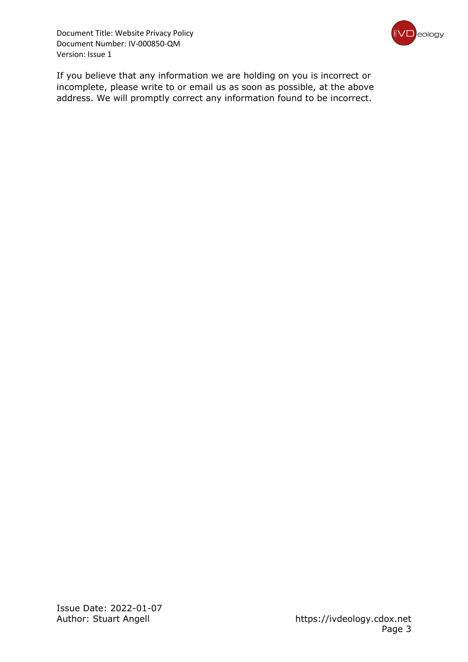

If you believe that any information we are holding on you is incorrect or incomplete, please write to or email us as soon as possible, at the above address. We will promptly correct any information found to be incorrect.